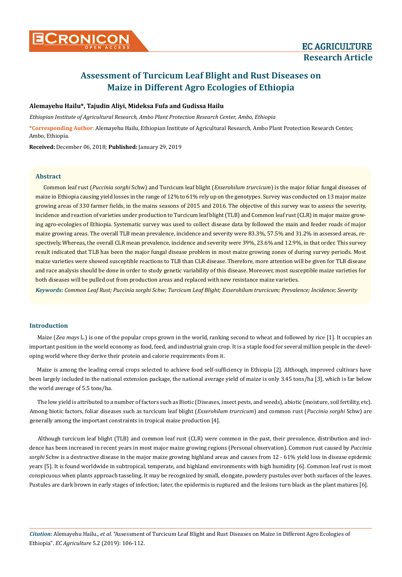# **Alemayehu Hailu\*, Tajudin Aliyi, Mideksa Fufa and Gudissa Hailu**

*Ethiopian Institute of Agricultural Research, Ambo Plant Protection Research Center, Ambo, Ethiopia*

**\*Corresponding Author**: Alemayehu Hailu, Ethiopian Institute of Agricultural Research, Ambo Plant Protection Research Center, Ambo, Ethiopia.

**Received:** December 06, 2018; **Published:** January 29, 2019

# **Abstract**

Common leaf rust (*Puccinia sorghi* Schw) and Turcicum leaf blight (*Exserohilum trurcicum*) is the major foliar fungal diseases of maize in Ethiopia causing yield losses in the range of 12% to 61% rely up on the genotypes. Survey was conducted on 13 major maize growing areas of 330 farmer fields, in the mains seasons of 2015 and 2016. The objective of this survey was to assess the severity, incidence and reaction of varieties under production to Turcicum leaf blight (TLB) and Common leaf rust (CLR) in major maize growing agro-ecologies of Ethiopia. Systematic survey was used to collect disease data by followed the main and feeder roads of major maize growing areas. The overall TLB mean prevalence, incidence and severity were 83.3%, 57.5% and 31.2% in assessed areas, respectively. Whereas, the overall CLR mean prevalence, incidence and severity were 39%, 23.6% and 12.9%, in that order. This survey result indicated that TLB has been the major fungal disease problem in most maize growing zones of during survey periods. Most maize varieties were showed susceptible reactions to TLB than CLR disease. Therefore, more attention will be given for TLB disease and race analysis should be done in order to study genetic variability of this disease. Moreover, most susceptible maize varieties for both diseases will be pulled out from production areas and replaced with new resistance maize varieties.

*Keywords: Common Leaf Rust; Puccinia sorghi Schw; Turcicum Leaf Blight; Exserohilum trurcicum; Prevalence; Incidence; Severity*

## **Introduction**

Maize (*Zea mays* L.) is one of the popular crops grown in the world, ranking second to wheat and followed by rice [1]. It occupies an important position in the world economy as food, feed, and industrial grain crop. It is a staple food for several million people in the developing world where they derive their protein and calorie requirements from it.

Maize is among the leading cereal crops selected to achieve food self-sufficiency in Ethiopia [2]. Although, improved cultivars have been largely included in the national extension package, the national average yield of maize is only 3.45 tons/ha [3], which is far below the world average of 5.5 tons/ha.

The low yield is attributed to a number of factors such as Biotic (Diseases, insect pests, and weeds), abiotic (moisture, soil fertility, etc). Among biotic factors, foliar diseases such as turcicum leaf blight (*Exserohilum trurcicum*) and common rust (*Puccinia sorghi* Schw) are generally among the important constraints in tropical maize production [4].

Although turcicum leaf blight (TLB) and common leaf rust (CLR) were common in the past, their prevalence, distribution and incidence has been increased in recent years in most major maize growing regions (Personal observation). Common rust caused by *Puccinia sorghi* Schw is a destructive disease in the major maize growing highland areas and causes from 12 - 61% yield loss in disease epidemic years [5]. It is found worldwide in subtropical, temperate, and highland environments with high humidity [6]. Common leaf rust is most conspicuous when plants approach tasseling. It may be recognized by small, elongate, powdery pustules over both surfaces of the leaves. Pustules are dark brown in early stages of infection; later, the epidermis is ruptured and the lesions turn black as the plant matures [6].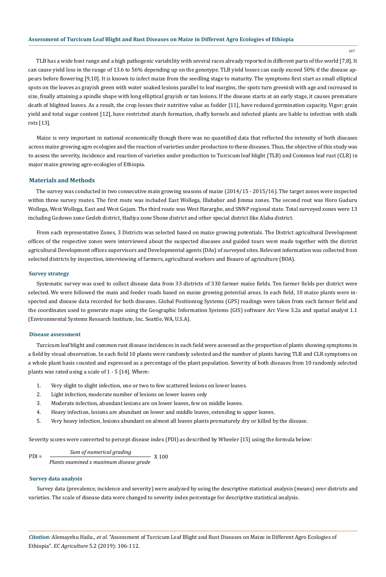107

TLB has a wide host range and a high pathogenic variability with several races already reported in different parts of the world [7,8]. It can cause yield loss in the range of 13.6 to 56% depending up on the genotype. TLB yield losses can easily exceed 50% if the disease appears before flowering [9,10]. It is known to infect maize from the seedling stage to maturity. The symptoms first start as small elliptical spots on the leaves as grayish green with water soaked lesions parallel to leaf margins, the spots turn greenish with age and increased in size, finally attaining a spindle shape with long elliptical grayish or tan lesions. If the disease starts at an early stage, it causes premature death of blighted leaves. As a result, the crop losses their nutritive value as fodder [11], have reduced germination capacity, Vigor; grain yield and total sugar content [12], have restricted starch formation, chaffy kernels and infected plants are liable to infection with stalk rots [13].

Maize is very important in national economically though there was no quantified data that reflected the intensity of both diseases across maize growing agro ecologies and the reaction of varieties under production to these diseases. Thus, the objective of this study was to assess the severity, incidence and reaction of varieties under production to Turcicum leaf blight (TLB) and Common leaf rust (CLR) in major maize growing agro-ecologies of Ethiopia.

#### **Materials and Methods**

The survey was conducted in two consecutive main growing seasons of maize (2014/15 - 2015/16). The target zones were inspected within three survey routes. The first route was included East Wollega, Illubabor and Jimma zones. The second rout was Horo Guduru Wollega, West Wollega, East and West Gojam. The third route was West Hararghe, and SNNP regional state. Total surveyed zones were 13 including Gedowo zone Gedeb district, Hadiya zone Shone district and other special district like Alaba district.

From each representative Zones, 3 Districts was selected based on maize growing potentials. The District agricultural Development offices of the respective zones were interviewed about the suspected diseases and guided tours were made together with the district agricultural Development offices supervisors and Developmental agents (DAs) of surveyed sites. Relevant information was collected from selected districts by inspection, interviewing of farmers, agricultural workers and Beauro of agriculture (BOA).

#### **Survey strategy**

Systematic survey was used to collect disease data from 33 districts of 330 farmer maize fields. Ten farmer fields per district were selected. We were followed the main and feeder roads based on maize growing potential areas. In each field, 10 maize plants were inspected and disease data recorded for both diseases. Global Positioning Systems (GPS) readings were taken from each farmer field and the coordinates used to generate maps using the Geographic Information Systems (GIS) software Arc View 3.2a and spatial analyst 1.1 (Environmental Systems Research Institute, Inc. Seattle, WA, U.S.A).

#### **Disease assessment**

Turcicum leaf blight and common rust disease incidences in each field were assessed as the proportion of plants showing symptoms in a field by visual observation. In each field 10 plants were randomly selected and the number of plants having TLB and CLR symptoms on a whole plant basis counted and expressed as a percentage of the plant population. Severity of both diseases from 10 randomly selected plants was rated using a scale of 1 - 5 [14]. Where:

- 1. Very slight to slight infection, one or two to few scattered lesions on lower leaves.
- 2. Light infection, moderate number of lesions on lower leaves only
- 3. Moderate infection, abundant lesions are on lower leaves, few on middle leaves.
- 4. Heavy infection, lesions are abundant on lower and middle leaves, extending to upper leaves.
- 5. Very heavy infection, lesions abundant on almost all leaves plants prematurely dry or killed by the disease.

Severity scores were converted to percept disease index (PDI) as described by Wheeler [15] using the formula below:

$$
PDI = \frac{Sum of numerical grading}{Plants examined x maximum disease grade} \times 100
$$

#### **Survey data analysis**

Survey data (prevalence, incidence and severity) were analyzed by using the descriptive statistical analysis (means) over districts and varieties. The scale of disease data were changed to severity index percentage for descriptive statistical analysis.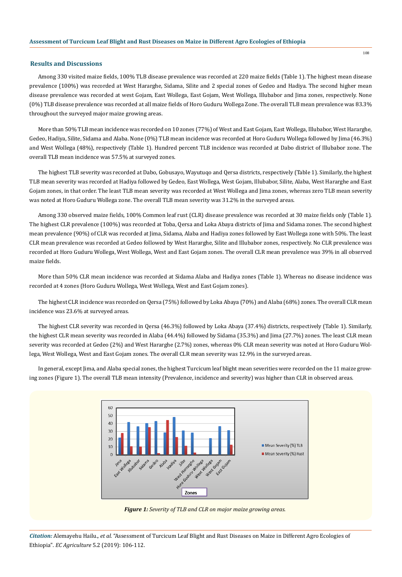#### **Results and Discussions**

108

Among 330 visited maize fields, 100% TLB disease prevalence was recorded at 220 maize fields (Table 1). The highest mean disease prevalence (100%) was recorded at West Hararghe, Sidama, Silite and 2 special zones of Gedeo and Hadiya. The second higher mean disease prevalence was recorded at west Gojam, East Wollega, East Gojam, West Wollega, Illubabor and Jima zones, respectively. None (0%) TLB disease prevalence was recorded at all maize fields of Horo Guduru Wollega Zone. The overall TLB mean prevalence was 83.3% throughout the surveyed major maize growing areas.

More than 50% TLB mean incidence was recorded on 10 zones (77%) of West and East Gojam, East Wollega, Illubabor, West Hararghe, Gedeo, Hadiya, Silite, Sidama and Alaba. None (0%) TLB mean incidence was recorded at Horo Guduru Wollega followed by Jima (46.3%) and West Wollega (48%), respectively (Table 1). Hundred percent TLB incidence was recorded at Dabo district of Illubabor zone. The overall TLB mean incidence was 57.5% at surveyed zones.

The highest TLB severity was recorded at Dabo, Gobusayo, Wayutuqo and Qersa districts, respectively (Table 1). Similarly, the highest TLB mean severity was recorded at Hadiya followed by Gedeo, East Wollega, West Gojam, Illubabor, Silite, Alaba, West Hararghe and East Gojam zones, in that order. The least TLB mean severity was recorded at West Wollega and Jima zones, whereas zero TLB mean severity was noted at Horo Guduru Wollega zone. The overall TLB mean severity was 31.2% in the surveyed areas.

Among 330 observed maize fields, 100% Common leaf rust (CLR) disease prevalence was recorded at 30 maize fields only (Table 1). The highest CLR prevalence (100%) was recorded at Toba, Qersa and Loka Abaya districts of Jima and Sidama zones. The second highest mean prevalence (90%) of CLR was recorded at Jima, Sidama, Alaba and Hadiya zones followed by East Wollega zone with 50%. The least CLR mean prevalence was recorded at Gedeo followed by West Hararghe, Silite and Illubabor zones, respectively. No CLR prevalence was recorded at Horo Guduru Wollega, West Wollega, West and East Gojam zones. The overall CLR mean prevalence was 39% in all observed maize fields.

More than 50% CLR mean incidence was recorded at Sidama Alaba and Hadiya zones (Table 1). Whereas no disease incidence was recorded at 4 zones (Horo Guduru Wollega, West Wollega, West and East Gojam zones).

The highest CLR incidence was recorded on Qersa (75%) followed by Loka Abaya (70%) and Alaba (68%) zones. The overall CLR mean incidence was 23.6% at surveyed areas.

The highest CLR severity was recorded in Qersa (46.3%) followed by Loka Abaya (37.4%) districts, respectively (Table 1). Similarly, the highest CLR mean severity was recorded in Alaba (44.4%) followed by Sidama (35.3%) and Jima (27.7%) zones. The least CLR mean severity was recorded at Gedeo (2%) and West Hararghe (2.7%) zones, whereas 0% CLR mean severity was noted at Horo Guduru Wollega, West Wollega, West and East Gojam zones. The overall CLR mean severity was 12.9% in the surveyed areas.

In general, except Jima, and Alaba special zones, the highest Turcicum leaf blight mean severities were recorded on the 11 maize growing zones (Figure 1). The overall TLB mean intensity (Prevalence, incidence and severity) was higher than CLR in observed areas.



*Figure 1: Severity of TLB and CLR on major maize growing areas.*

*Citation:* Alemayehu Hailu.*, et al.* "Assessment of Turcicum Leaf Blight and Rust Diseases on Maize in Different Agro Ecologies of Ethiopia". *EC Agriculture* 5.2 (2019): 106-112.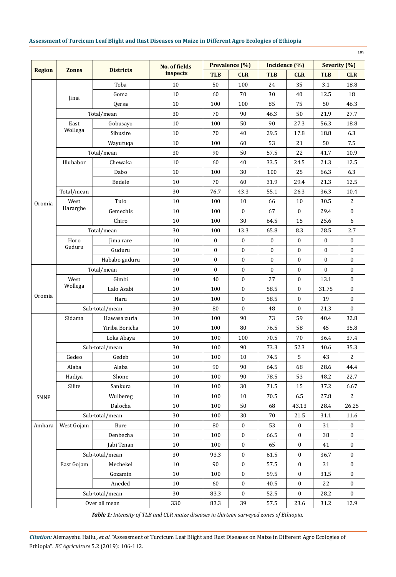|               |                 |                  |                                  |                  |                  |                  |                  |                  | 109              |
|---------------|-----------------|------------------|----------------------------------|------------------|------------------|------------------|------------------|------------------|------------------|
|               |                 | <b>Districts</b> | <b>No. of fields</b><br>inspects | Prevalence (%)   |                  | Incidence (%)    |                  | Severity (%)     |                  |
| <b>Region</b> | <b>Zones</b>    |                  |                                  | <b>TLB</b>       | <b>CLR</b>       | <b>TLB</b>       | <b>CLR</b>       | <b>TLB</b>       | <b>CLR</b>       |
|               |                 | Toba             | 10                               | 50               | 100              | 24               | 35               | 3.1              | 18.8             |
|               | Jima            | Goma             | 10                               | 60               | 70               | 30               | 40               | 12.5             | 18               |
|               |                 | Qersa            | 10                               | 100              | 100              | 85               | 75               | 50               | 46.3             |
|               | Total/mean      |                  | 30                               | 70               | 90               | 46.3             | 50               | 21.9             | 27.7             |
|               | East<br>Wollega | Gobusayo         | 10                               | 100              | 50               | 90               | 27.3             | 56.3             | 18.8             |
|               |                 | Sibusire         | 10                               | 70               | 40               | 29.5             | 17.8             | 18.8             | 6.3              |
|               |                 | Wayutuqa         | 10                               | 100              | 60               | 53               | 21               | 50               | 7.5              |
|               | Total/mean      |                  | 30                               | 90               | 50               | 57.5             | 22               | 41.7             | 10.9             |
|               | Illubabor       | Chewaka          | 10                               | 60               | 40               | 33.5             | 24.5             | 21.3             | 12.5             |
|               |                 | Dabo             | 10                               | 100              | 30               | 100              | 25               | 66.3             | 6.3              |
|               |                 | Bedele           | 10                               | 70               | 60               | 31.9             | 29.4             | 21.3             | 12.5             |
|               | Total/mean      |                  | 30                               | 76.7             | 43.3             | 55.1             | 26.3             | 36.3             | 10.4             |
| Oromia        | West            | Tulo             | 10                               | 100              | 10               | 66               | 10               | 30.5             | 2                |
|               | Hararghe        | Gemechis         | 10                               | 100              | $\mathbf{0}$     | 67               | $\mathbf{0}$     | 29.4             | $\mathbf{0}$     |
|               |                 | Chiro            | 10                               | 100              | 30               | 64.5             | 15               | 25.6             | 6                |
|               | Total/mean      |                  | 30                               | 100              | 13.3             | 65.8             | 8.3              | 28.5             | 2.7              |
|               | Horo            | Jima rare        | 10                               | $\boldsymbol{0}$ | $\mathbf{0}$     | $\mathbf{0}$     | $\mathbf{0}$     | $\mathbf{0}$     | $\mathbf{0}$     |
|               | Guduru          | Guduru           | 10                               | $\mathbf{0}$     | $\mathbf{0}$     | $\mathbf{0}$     | $\mathbf{0}$     | 0                | $\mathbf{0}$     |
|               |                 | Hababo guduru    | 10                               | $\boldsymbol{0}$ | $\boldsymbol{0}$ | 0                | $\boldsymbol{0}$ | $\boldsymbol{0}$ | $\boldsymbol{0}$ |
|               | Total/mean      |                  | 30                               | $\mathbf{0}$     | $\mathbf{0}$     | $\boldsymbol{0}$ | $\mathbf{0}$     | $\mathbf{0}$     | $\mathbf{0}$     |
| Oromia        | West<br>Wollega | Gimbi            | 10                               | 40               | $\mathbf{0}$     | 27               | $\bf{0}$         | 13.1             | $\mathbf{0}$     |
|               |                 | Lalo Asabi       | 10                               | 100              | $\mathbf{0}$     | 58.5             | $\mathbf{0}$     | 31.75            | $\mathbf{0}$     |
|               |                 | Haru             | 10                               | 100              | $\mathbf{0}$     | 58.5             | $\bf{0}$         | 19               | $\boldsymbol{0}$ |
|               | Sub-total/mean  |                  | 30                               | 80               | $\mathbf{0}$     | 48               | $\mathbf{0}$     | 21.3             | $\mathbf{0}$     |
|               | Sidama          | Hawasa zuria     | 10                               | 100              | 90               | 73               | 59               | 40.4             | 32.8             |
|               |                 | Yiriba Boricha   | 10                               | 100              | 80               | 76.5             | 58               | 45               | 35.8             |
|               |                 | Loka Abaya       | 10                               | 100              | 100              | 70.5             | 70               | 36.4             | 37.4             |
|               |                 | Sub-total/mean   | 30                               | 100              | 90               | 73.3             | 52.3             | 40.6             | 35.3             |
|               | Gedeo           | Gedeb            | 10                               | 100              | 10               | 74.5             | 5                | 43               | 2                |
|               | Alaba           | Alaba            | 10                               | 90               | 90               | 64.5             | 68               | 28.6             | 44.4             |
|               | Hadiya          | Shone            | 10                               | 100              | 90               | 78.5             | 53               | 48.2             | 22.7             |
|               | Silite          | Sankura          | 10                               | 100              | 30               | $71.5\,$         | 15               | 37.2             | 6.67             |
| SNNP          |                 | Wulbereg         | 10                               | 100              | 10               | 70.5             | 6.5              | 27.8             | 2                |
|               |                 | Dalocha          | 10                               | 100              | 50               | 68               | 43.13            | 28.4             | 26.25            |
|               | Sub-total/mean  |                  | 30                               | 100              | 30               | 70               | 21.5             | 31.1             | 11.6             |
| Amhara        | West Gojam      | <b>Bure</b>      | 10                               | 80               | $\boldsymbol{0}$ | 53               | $\boldsymbol{0}$ | 31               | $\boldsymbol{0}$ |
|               |                 | Denbecha         | 10                               | 100              | $\boldsymbol{0}$ | 66.5             | $\bf{0}$         | 38               | $\bf{0}$         |
|               |                 | Jabi Tenan       | 10                               | 100              | $\boldsymbol{0}$ | 65               | $\boldsymbol{0}$ | 41               | $\boldsymbol{0}$ |
|               | Sub-total/mean  |                  | 30                               | 93.3             | $\boldsymbol{0}$ | 61.5             | $\boldsymbol{0}$ | 36.7             | $\bf{0}$         |
|               | East Gojam      | Mechekel         | 10                               | 90               | $\boldsymbol{0}$ | 57.5             | $\boldsymbol{0}$ | 31               | $\boldsymbol{0}$ |
|               |                 | Gozamin          | 10                               | 100              | $\boldsymbol{0}$ | 59.5             | $\boldsymbol{0}$ | 31.5             | $\bf{0}$         |
|               |                 | Aneded           | 10                               | 60               | $\boldsymbol{0}$ | 40.5             | $\boldsymbol{0}$ | 22               | $\boldsymbol{0}$ |
|               | Sub-total/mean  |                  | 30                               | 83.3             | $\bf{0}$         | 52.5             | $\bf{0}$         | 28.2             | $\bf{0}$         |
|               | Over all mean   |                  | 330                              | 83.3             | 39               | 57.5             | 23.6             | 31.2             | 12.9             |

*Table 1: Intensity of TLB and CLR maize diseases in thirteen surveyed zones of Ethiopia.*

*Citation:* Alemayehu Hailu.*, et al.* "Assessment of Turcicum Leaf Blight and Rust Diseases on Maize in Different Agro Ecologies of Ethiopia". *EC Agriculture* 5.2 (2019): 106-112.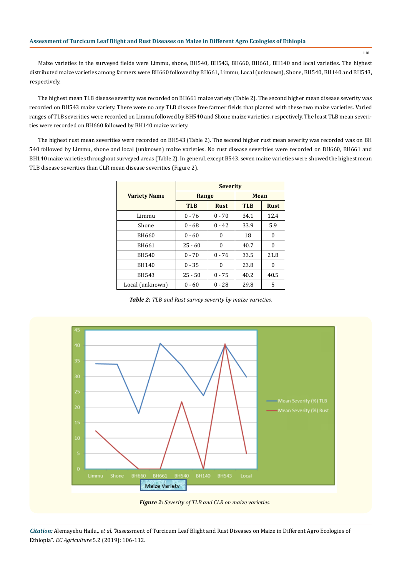Maize varieties in the surveyed fields were Limmu, shone, BH540, BH543, BH660, BH661, BH140 and local varieties. The highest distributed maize varieties among farmers were BH660 followed by BH661, Limmu, Local (unknown), Shone, BH540, BH140 and BH543, respectively.

The highest mean TLB disease severity was recorded on BH661 maize variety (Table 2). The second higher mean disease severity was recorded on BH543 maize variety. There were no any TLB disease free farmer fields that planted with these two maize varieties. Varied ranges of TLB severities were recorded on Limmu followed by BH540 and Shone maize varieties, respectively. The least TLB mean severities were recorded on BH660 followed by BH140 maize variety.

The highest rust mean severities were recorded on BH543 (Table 2). The second higher rust mean severity was recorded was on BH 540 followed by Limmu, shone and local (unknown) maize varieties. No rust disease severities were recorded on BH660, BH661 and BH140 maize varieties throughout surveyed areas (Table 2). In general, except B543, seven maize varieties were showed the highest mean TLB disease severities than CLR mean disease severities (Figure 2).

|                     | <b>Severity</b> |             |            |             |  |  |  |  |
|---------------------|-----------------|-------------|------------|-------------|--|--|--|--|
| <b>Variety Name</b> | Range           |             | Mean       |             |  |  |  |  |
|                     | <b>TLB</b>      | <b>Rust</b> | <b>TLB</b> | <b>Rust</b> |  |  |  |  |
| Limmu               | $0 - 76$        | $0 - 70$    | 34.1       | 12.4        |  |  |  |  |
| Shone               | $0 - 68$        | $0 - 42$    | 33.9       | 5.9         |  |  |  |  |
| <b>BH660</b>        | $0 - 60$        | 0           | 18         | 0           |  |  |  |  |
| BH661               | $25 - 60$       | $\theta$    | 40.7       | 0           |  |  |  |  |
| <b>BH540</b>        | $0 - 70$        | $0 - 76$    | 33.5       | 21.8        |  |  |  |  |
| BH140               | $0 - 35$        | 0           | 23.8       | 0           |  |  |  |  |
| BH543               | $25 - 50$       | $0 - 75$    | 40.2       | 40.5        |  |  |  |  |
| Local (unknown)     | $0 - 60$        | $0 - 28$    | 29.8       | 5           |  |  |  |  |

*Table 2: TLB and Rust survey severity by maize varieties.*



*Citation:* Alemayehu Hailu.*, et al.* "Assessment of Turcicum Leaf Blight and Rust Diseases on Maize in Different Agro Ecologies of Ethiopia". *EC Agriculture* 5.2 (2019): 106-112.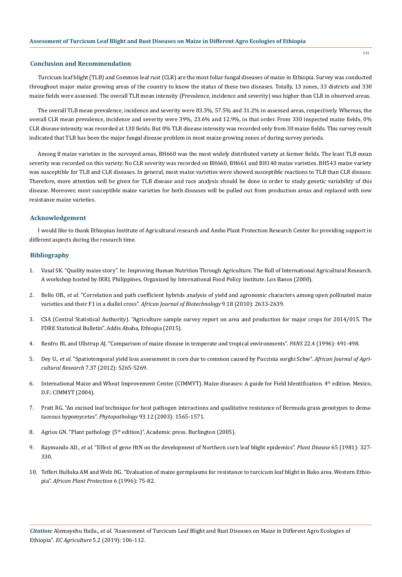#### **Conclusion and Recommendation**

Turcicum leaf blight (TLB) and Common leaf rust (CLR) are the most foliar fungal diseases of maize in Ethiopia. Survey was conducted throughout major maize growing areas of the country to know the status of these two diseases. Totally, 13 zones, 33 districts and 330 maize fields were assessed. The overall TLB mean intensity (Prevalence, incidence and severity) was higher than CLR in observed areas.

The overall TLB mean prevalence, incidence and severity were 83.3%, 57.5% and 31.2% in assessed areas, respectively. Whereas, the overall CLR mean prevalence, incidence and severity were 39%, 23.6% and 12.9%, in that order. From 330 inspected maize fields, 0% CLR disease intensity was recorded at 130 fields. But 0% TLB disease intensity was recorded only from 30 maize fields. This survey result indicated that TLB has been the major fungal disease problem in most maize growing zones of during survey periods.

Among 8 maize varieties in the surveyed areas, BH660 was the most widely distributed variety at farmer fields. The least TLB mean severity was recorded on this variety. No CLR severity was recorded on BH660, BH661 and BH140 maize varieties. BH543 maize variety was susceptible for TLB and CLR diseases. In general, most maize varieties were showed susceptible reactions to TLB than CLR disease. Therefore, more attention will be given for TLB disease and race analysis should be done in order to study genetic variability of this disease. Moreover, most susceptible maize varieties for both diseases will be pulled out from production areas and replaced with new resistance maize varieties.

## **Acknowledgement**

I would like to thank Ethiopian Institute of Agricultural research and Ambo Plant Protection Research Center for providing support in different aspects during the research time.

#### **Bibliography**

- 1. Vasal SK. "Quality maize story". In: Improving Human Nutrition Through Agriculture. The Roll of International Agricultural Research. A workshop hosted by IRRI, Philippines, Organized by International Food Policy Institute. Los Banos (2000).
- 2. Bello OB., *et al*[. "Correlation and path coefficient hybrids analysis of yield and agronomic characters among open pollinated maize](https://www.ajol.info/index.php/ajb/article/view/79885)  varieties and their F1 in a diallel cross". *[African Journal of Biotechnology](https://www.ajol.info/index.php/ajb/article/view/79885)* 9.18 (2010): 2633-2639.
- 3. CSA (Central Statistical Authority). "Agriculture sample survey report on area and production for major crops for 2014/015. The FDRE Statistical Bulletin". Addis Ababa, Ethiopia (2015).
- 4. [Renfro BL and Ullstrup AJ. "Comparison of maize disease in temperate and tropical environments".](https://www.tandfonline.com/doi/abs/10.1080/09670877609414339) *PANS* 22.4 (1996): 491-498.
- 5. Dey U., *et al*[. "Spatiotemporal yield loss assessment in corn due to common caused by Puccinia sorghi Schw".](http://www.academicjournals.org/app/webroot/article/article1380885953_Dey%20et%20al.pdf) *African Journal of Agricultural Research* [7.37 \(2012\): 5265-5269.](http://www.academicjournals.org/app/webroot/article/article1380885953_Dey%20et%20al.pdf)
- 6. International Maize and Wheat Improvement Center (CIMMYT). Maize diseases: A guide for Field Identification. 4th edition. Mexico, D.F.: CIMMYT (2004).
- 7. [Pratt RG. "An excised leaf technique for host pathogen interactions and qualitative resistance of Bermuda grass genotypes to dema](https://www.ncbi.nlm.nih.gov/pubmed/18943621)taceous hypomycetes". *Phytopathology* [93.12 \(2003\): 1565-1571.](https://www.ncbi.nlm.nih.gov/pubmed/18943621)
- 8. Agrios GN. "Plant pathology (5<sup>th</sup> edition)". Academic press. Burlington (2005).
- 9. Raymundo AD., *et al*[. "Effect of gene HtN on the development of Northern corn leaf blight epidemics".](https://www.apsnet.org/publications/PlantDisease/BackIssues/Documents/1981Abstracts/PD_65_327.htm) *Plant Disease* 65 (1981): 327- [330.](https://www.apsnet.org/publications/PlantDisease/BackIssues/Documents/1981Abstracts/PD_65_327.htm)
- 10. Tefferi Hulluka AM and Welz HG. "Evaluation of maize germplasms for resistance to turcicum leaf blight in Bako area. Western Ethiopia". *African Plant Protection* 6 (1996): 75-82.